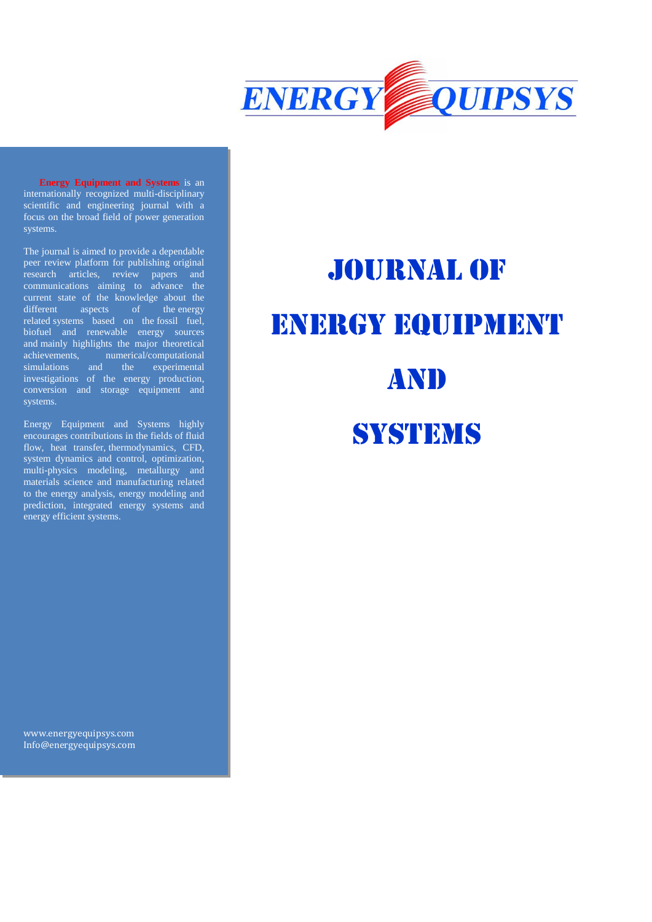

**Energy Equipment and Systems** is an internationally recognized multi-disciplinary scientific and engineering journal with a focus on the broad field of power generation systems.

The journal is aimed to provide a dependable peer review platform for publishing original research articles, review papers and communications aiming to advance the current state of the knowledge about the different aspects of the energy related systems based on the fossil fuel, biofuel and renewable energy sources and mainly highlights the major theoretical achievements, numerical/computational simulations and the experimental investigations of the energy production, conversion and storage equipment and systems.

Energy Equipment and Systems highly encourages contributions in the fields of fluid flow, heat transfer, thermodynamics, CFD, system dynamics and control, optimization, multi-physics modeling, metallurgy and materials science and manufacturing related to the energy analysis, energy modeling and prediction, integrated energy systems and energy efficient systems.

Journal of ENERGY EQUIPMENT **AND** 

# **SYSTEMS**

[www.energyequipsys.com](http://www.energyequipsys.com/) Info@energyequipsys.com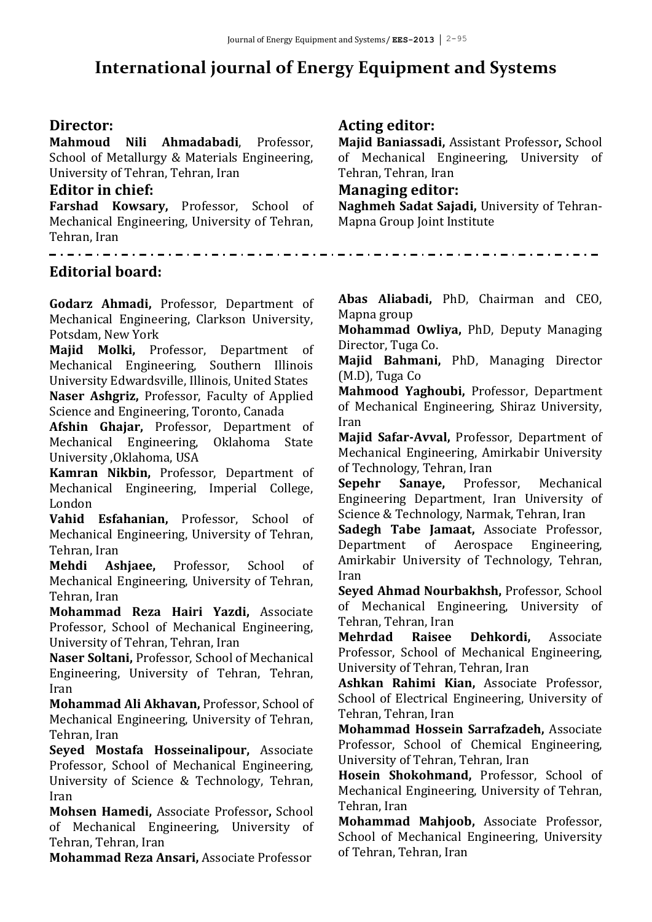## **International journal of Energy Equipment and Systems**

#### **Director:**

**Mahmoud Nili Ahmadabadi**, Professor, School of Metallurgy & Materials Engineering, University of Tehran, Tehran, Iran

#### **Editor in chief:**

**Farshad Kowsary,** Professor, School of Mechanical Engineering, University of Tehran,

#### **Acting editor:**

**Majid Baniassadi,** Assistant Professor**,** School of Mechanical Engineering, University of Tehran, Tehran, Iran

#### **Managing editor:**

**Naghmeh Sadat Sajadi,** University of Tehran-Mapna Group Joint Institute

Tehran, Iran 

#### **Editorial board:**

**Godarz Ahmadi,** Professor, Department of Mechanical Engineering, Clarkson University, Potsdam, New York

**Majid Molki,** Professor, Department of Mechanical Engineering, Southern Illinois University Edwardsville, Illinois, United States **Naser Ashgriz,** Professor, Faculty of Applied

Science and Engineering, Toronto, Canada

**Afshin Ghajar,** Professor, Department of Mechanical Engineering, Oklahoma State University ,Oklahoma, USA

**Kamran Nikbin,** Professor, Department of Mechanical Engineering, Imperial College, London

**Vahid Esfahanian,** Professor, School of Mechanical Engineering, University of Tehran, Tehran, Iran

**Mehdi Ashjaee,** Professor, School of Mechanical Engineering, University of Tehran, Tehran, Iran

**Mohammad Reza Hairi Yazdi,** Associate Professor, School of Mechanical Engineering, University of Tehran, Tehran, Iran

**Naser Soltani,** Professor, School of Mechanical Engineering, University of Tehran, Tehran, Iran

**Mohammad Ali Akhavan,** Professor, School of Mechanical Engineering, University of Tehran, Tehran, Iran

**Seyed Mostafa Hosseinalipour,** Associate Professor, School of Mechanical Engineering, University of Science & Technology, Tehran, Iran

**Mohsen Hamedi,** Associate Professor**,** School of Mechanical Engineering, University of Tehran, Tehran, Iran

**Mohammad Reza Ansari,** Associate Professor

**Abas Aliabadi,** PhD, Chairman and CEO, Mapna group

**Mohammad Owliya,** PhD, Deputy Managing Director, Tuga Co.

**Majid Bahmani,** PhD, Managing Director (M.D), Tuga Co

**Mahmood Yaghoubi,** Professor, Department of Mechanical Engineering, Shiraz University, Iran

**Majid Safar-Avval,** Professor, Department of Mechanical Engineering, Amirkabir University of Technology, Tehran, Iran

**Sepehr Sanaye,** Professor, Mechanical Engineering Department, Iran University of Science & Technology, Narmak, Tehran, Iran

**Sadegh Tabe Jamaat,** Associate Professor, Department of Aerospace Engineering, Amirkabir University of Technology, Tehran, Iran

**Seyed Ahmad Nourbakhsh,** Professor, School of Mechanical Engineering, University of Tehran, Tehran, Iran

**Mehrdad Raisee Dehkordi,** Associate Professor, School of Mechanical Engineering, University of Tehran, Tehran, Iran

**Ashkan Rahimi Kian,** Associate Professor, School of Electrical Engineering, University of Tehran, Tehran, Iran

**Mohammad Hossein Sarrafzadeh,** Associate Professor, School of Chemical Engineering, University of Tehran, Tehran, Iran

**Hosein Shokohmand,** Professor, School of Mechanical Engineering, University of Tehran, Tehran, Iran

**Mohammad Mahjoob,** Associate Professor, School of Mechanical Engineering, University of Tehran, Tehran, Iran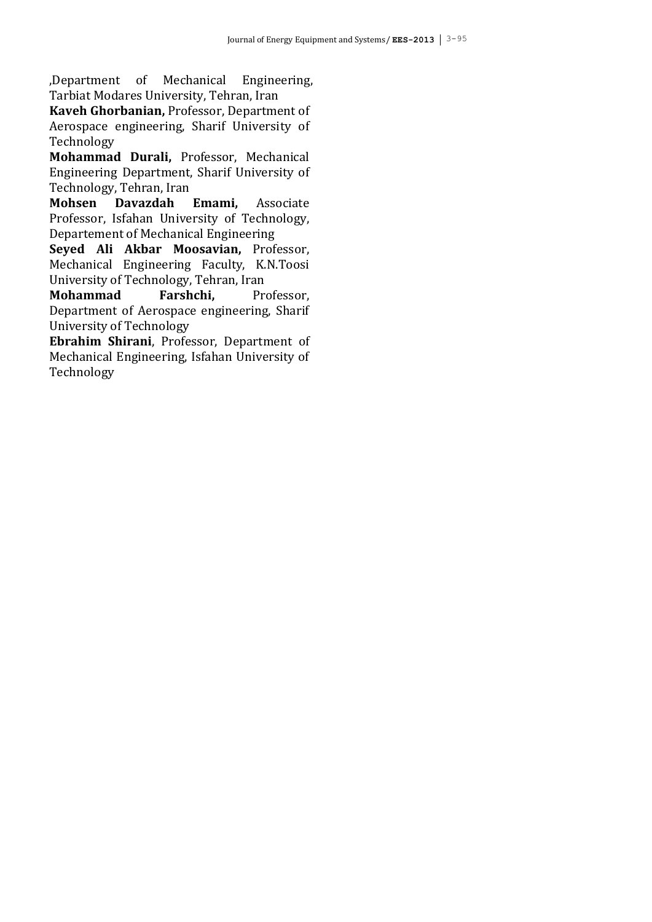,Department of Mechanical Engineering, Tarbiat Modares University, Tehran, Iran

**Kaveh Ghorbanian,** Professor, Department of Aerospace engineering, Sharif University of Technology

**Mohammad Durali,** Professor, Mechanical Engineering Department, Sharif University of Technology, Tehran, Iran

**Mohsen Davazdah Emami,** Associate Professor, Isfahan University of Technology, Departement of Mechanical Engineering

**Seyed Ali Akbar Moosavian,** Professor, Mechanical Engineering Faculty, K.N.Toosi University of Technology, Tehran, Iran

**Mohammad** Farshchi, Professor, Department of Aerospace engineering, Sharif University of Technology

**Ebrahim Shirani**, Professor, Department of Mechanical Engineering, Isfahan University of Technology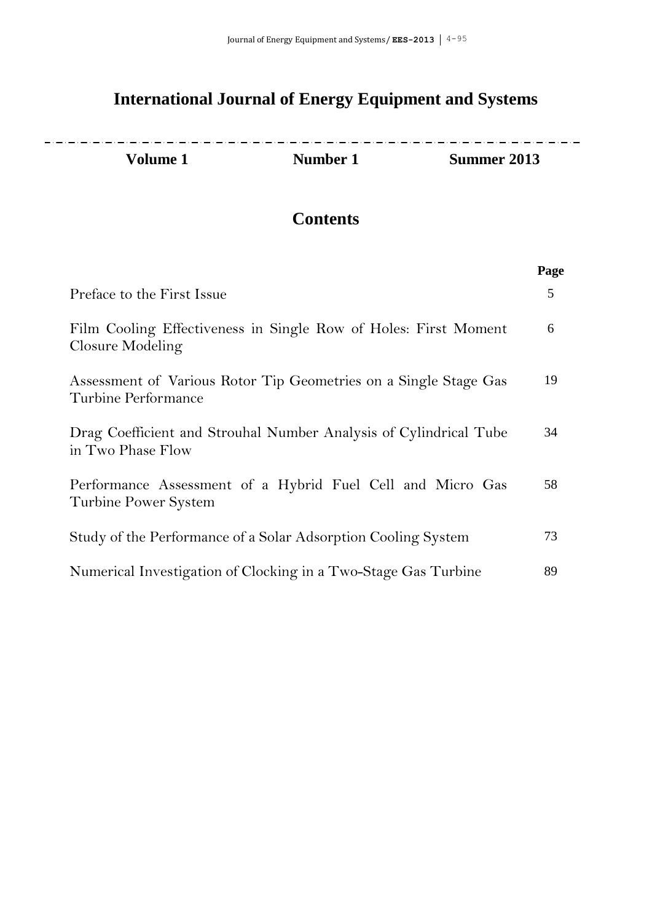### **International Journal of Energy Equipment and Systems**

2020 - 2020 - 2020 - 2020 - 2020 - 2020 - 2020 - 2020 - 2020 - 2020 - 2020 - 2020 - 2020 - 2020 - 2020 - 2020  $\frac{1}{2} \frac{1}{2} \frac{1}{2} \frac{1}{2} \frac{1}{2} \frac{1}{2} \frac{1}{2} \frac{1}{2} \frac{1}{2} \frac{1}{2} \frac{1}{2} \frac{1}{2} \frac{1}{2} \frac{1}{2} \frac{1}{2} \frac{1}{2} \frac{1}{2} \frac{1}{2} \frac{1}{2} \frac{1}{2} \frac{1}{2} \frac{1}{2} \frac{1}{2} \frac{1}{2} \frac{1}{2} \frac{1}{2} \frac{1}{2} \frac{1}{2} \frac{1}{2} \frac{1}{2} \frac{1}{2} \frac{$ **Volume 1 Number 1 Summer 2013**

### **Contents**

|                                                                                         | Page |
|-----------------------------------------------------------------------------------------|------|
| Preface to the First Issue                                                              | 5    |
| Film Cooling Effectiveness in Single Row of Holes: First Moment<br>Closure Modeling     | 6    |
| Assessment of Various Rotor Tip Geometries on a Single Stage Gas<br>Turbine Performance | 19   |
| Drag Coefficient and Strouhal Number Analysis of Cylindrical Tube<br>in Two Phase Flow  | 34   |
| Performance Assessment of a Hybrid Fuel Cell and Micro Gas<br>Turbine Power System      | 58   |
| Study of the Performance of a Solar Adsorption Cooling System                           | 73   |
| Numerical Investigation of Clocking in a Two-Stage Gas Turbine                          | 89   |